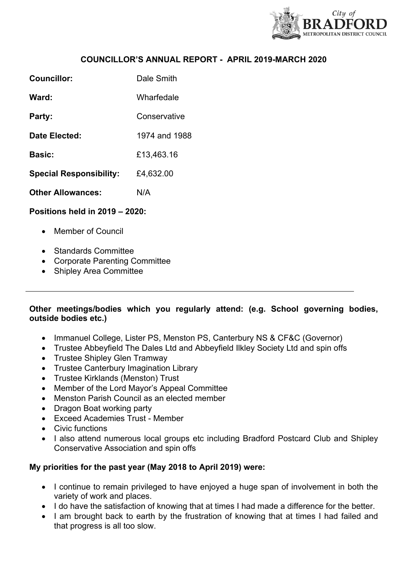

### **COUNCILLOR'S ANNUAL REPORT - APRIL 2019-MARCH 2020**

| Councillor:                    | Dale Smith    |
|--------------------------------|---------------|
| Ward:                          | Wharfedale    |
| Party:                         | Conservative  |
| Date Elected:                  | 1974 and 1988 |
| <b>Basic:</b>                  | £13,463.16    |
| <b>Special Responsibility:</b> | £4,632.00     |
| <b>Other Allowances:</b>       | N/A           |
|                                |               |

#### **Positions held in 2019 – 2020:**

- Member of Council
- Standards Committee
- Corporate Parenting Committee
- Shipley Area Committee

### **Other meetings/bodies which you regularly attend: (e.g. School governing bodies, outside bodies etc.)**

- Immanuel College, Lister PS, Menston PS, Canterbury NS & CF&C (Governor)
- Trustee Abbeyfield The Dales Ltd and Abbeyfield Ilkley Society Ltd and spin offs
- Trustee Shipley Glen Tramway
- Trustee Canterbury Imagination Library
- Trustee Kirklands (Menston) Trust
- Member of the Lord Mayor's Appeal Committee
- Menston Parish Council as an elected member
- Dragon Boat working party
- Exceed Academies Trust Member
- Civic functions
- I also attend numerous local groups etc including Bradford Postcard Club and Shipley Conservative Association and spin offs

### **My priorities for the past year (May 2018 to April 2019) were:**

- I continue to remain privileged to have enjoyed a huge span of involvement in both the variety of work and places.
- I do have the satisfaction of knowing that at times I had made a difference for the better.
- I am brought back to earth by the frustration of knowing that at times I had failed and that progress is all too slow.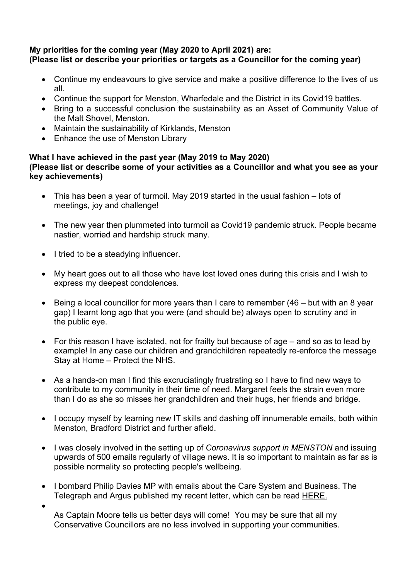# **My priorities for the coming year (May 2020 to April 2021) are: (Please list or describe your priorities or targets as a Councillor for the coming year)**

- Continue my endeavours to give service and make a positive difference to the lives of us all.
- Continue the support for Menston, Wharfedale and the District in its Covid19 battles.
- Bring to a successful conclusion the sustainability as an Asset of Community Value of the Malt Shovel, Menston.
- Maintain the sustainability of Kirklands, Menston
- Enhance the use of Menston Library

## **What I have achieved in the past year (May 2019 to May 2020) (Please list or describe some of your activities as a Councillor and what you see as your key achievements)**

- This has been a year of turmoil. May 2019 started in the usual fashion lots of meetings, joy and challenge!
- The new year then plummeted into turmoil as Covid19 pandemic struck. People became nastier, worried and hardship struck many.
- I tried to be a steadying influencer.

 $\bullet$ 

- My heart goes out to all those who have lost loved ones during this crisis and I wish to express my deepest condolences.
- $\bullet$  Being a local councillor for more years than I care to remember (46 but with an 8 year gap) I learnt long ago that you were (and should be) always open to scrutiny and in the public eye.
- For this reason I have isolated, not for frailty but because of age and so as to lead by example! In any case our children and grandchildren repeatedly re-enforce the message Stay at Home – Protect the NHS.
- As a hands-on man I find this excruciatingly frustrating so I have to find new ways to contribute to my community in their time of need. Margaret feels the strain even more than I do as she so misses her grandchildren and their hugs, her friends and bridge.
- I occupy myself by learning new IT skills and dashing off innumerable emails, both within Menston, Bradford District and further afield.
- I was closely involved in the setting up of *Coronavirus support in MENSTON* and issuing upwards of 500 emails regularly of village news. It is so important to maintain as far as is possible normality so protecting people's wellbeing.
- I bombard Philip Davies MP with emails about the Care System and Business. The Telegraph and Argus published my recent letter, which can be read [HERE.](https://shipleybusinessclub.us9.list-manage.com/track/click?u=8e13038c280eaa35840324340&id=6f81f60d82&e=4761784094)
	- As Captain Moore tells us better days will come! You may be sure that all my Conservative Councillors are no less involved in supporting your communities.